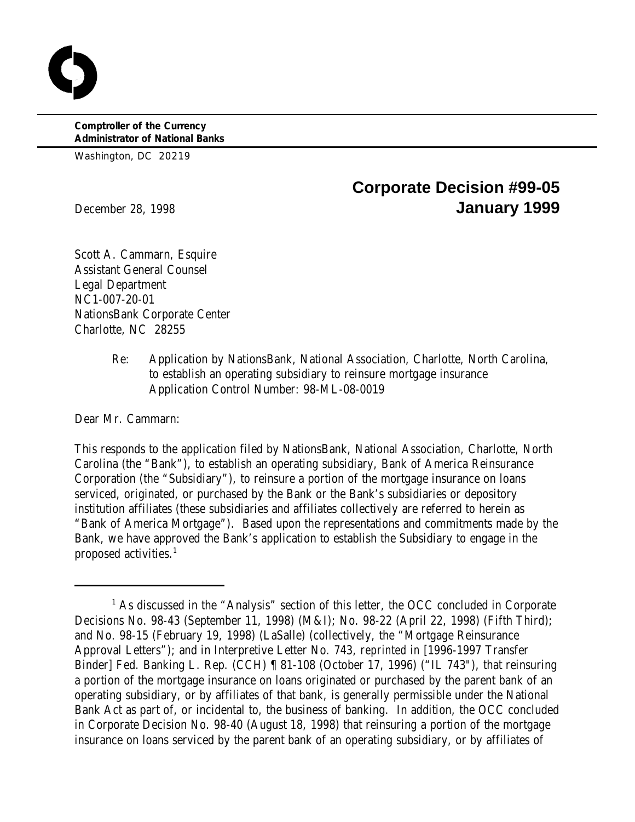**Comptroller of the Currency Administrator of National Banks**

Washington, DC 20219

# **Corporate Decision #99-05** December 28, 1998 **January 1999**

Scott A. Cammarn, Esquire Assistant General Counsel Legal Department NC1-007-20-01 NationsBank Corporate Center Charlotte, NC 28255

> Re: Application by NationsBank, National Association, Charlotte, North Carolina, to establish an operating subsidiary to reinsure mortgage insurance Application Control Number: 98-ML-08-0019

Dear Mr. Cammarn:

This responds to the application filed by NationsBank, National Association, Charlotte, North Carolina (the "Bank"), to establish an operating subsidiary, Bank of America Reinsurance Corporation (the "Subsidiary"), to reinsure a portion of the mortgage insurance on loans serviced, originated, or purchased by the Bank or the Bank's subsidiaries or depository institution affiliates (these subsidiaries and affiliates collectively are referred to herein as "Bank of America Mortgage"). Based upon the representations and commitments made by the Bank, we have approved the Bank's application to establish the Subsidiary to engage in the proposed activities.<sup>1</sup>

 $<sup>1</sup>$  As discussed in the "Analysis" section of this letter, the OCC concluded in Corporate</sup> Decisions No. 98-43 (September 11, 1998) (M&I); No. 98-22 (April 22, 1998) (Fifth Third); and No. 98-15 (February 19, 1998) (LaSalle) (collectively, the "Mortgage Reinsurance Approval Letters"); and in Interpretive Letter No. 743, *reprinted in* [1996-1997 Transfer Binder] Fed. Banking L. Rep. (CCH) ¶ 81-108 (October 17, 1996) ("IL 743"), that reinsuring a portion of the mortgage insurance on loans originated or purchased by the parent bank of an operating subsidiary, or by affiliates of that bank, is generally permissible under the National Bank Act as part of, or incidental to, the business of banking. In addition, the OCC concluded in Corporate Decision No. 98-40 (August 18, 1998) that reinsuring a portion of the mortgage insurance on loans serviced by the parent bank of an operating subsidiary, or by affiliates of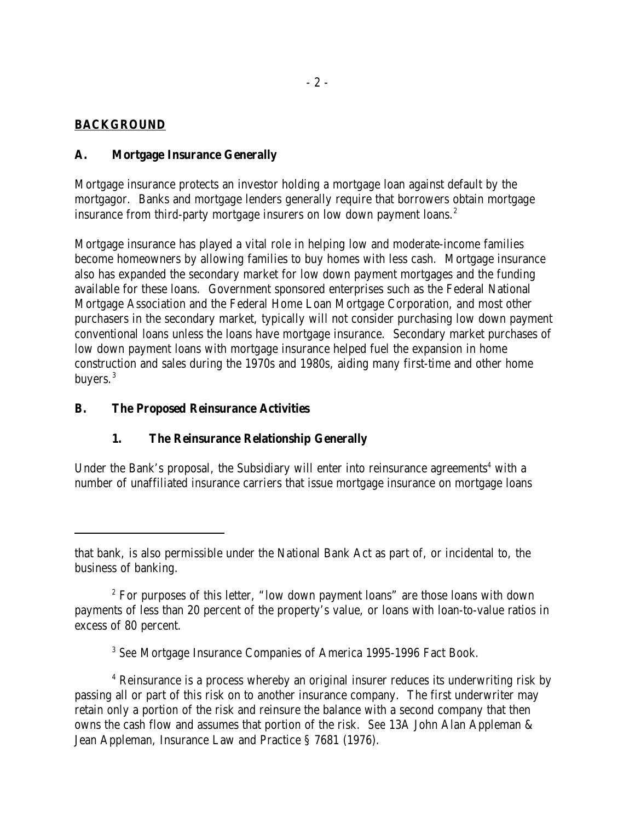# **BACKGROUND**

## **A. Mortgage Insurance Generally**

Mortgage insurance protects an investor holding a mortgage loan against default by the mortgagor. Banks and mortgage lenders generally require that borrowers obtain mortgage insurance from third-party mortgage insurers on low down payment loans.<sup>2</sup>

Mortgage insurance has played a vital role in helping low and moderate-income families become homeowners by allowing families to buy homes with less cash. Mortgage insurance also has expanded the secondary market for low down payment mortgages and the funding available for these loans. Government sponsored enterprises such as the Federal National Mortgage Association and the Federal Home Loan Mortgage Corporation, and most other purchasers in the secondary market, typically will not consider purchasing low down payment conventional loans unless the loans have mortgage insurance. Secondary market purchases of low down payment loans with mortgage insurance helped fuel the expansion in home construction and sales during the 1970s and 1980s, aiding many first-time and other home buyers.<sup>3</sup>

## **B. The Proposed Reinsurance Activities**

# **1. The Reinsurance Relationship Generally**

Under the Bank's proposal, the Subsidiary will enter into reinsurance agreements<sup>4</sup> with a number of unaffiliated insurance carriers that issue mortgage insurance on mortgage loans

<sup>3</sup> See Mortgage Insurance Companies of America 1995-1996 Fact Book.

<sup>4</sup> Reinsurance is a process whereby an original insurer reduces its underwriting risk by passing all or part of this risk on to another insurance company. The first underwriter may retain only a portion of the risk and reinsure the balance with a second company that then owns the cash flow and assumes that portion of the risk. *See* 13A John Alan Appleman & Jean Appleman, Insurance Law and Practice § 7681 (1976).

that bank, is also permissible under the National Bank Act as part of, or incidental to, the business of banking.

 $2^{\circ}$  For purposes of this letter, "low down payment loans" are those loans with down payments of less than 20 percent of the property's value, or loans with loan-to-value ratios in excess of 80 percent.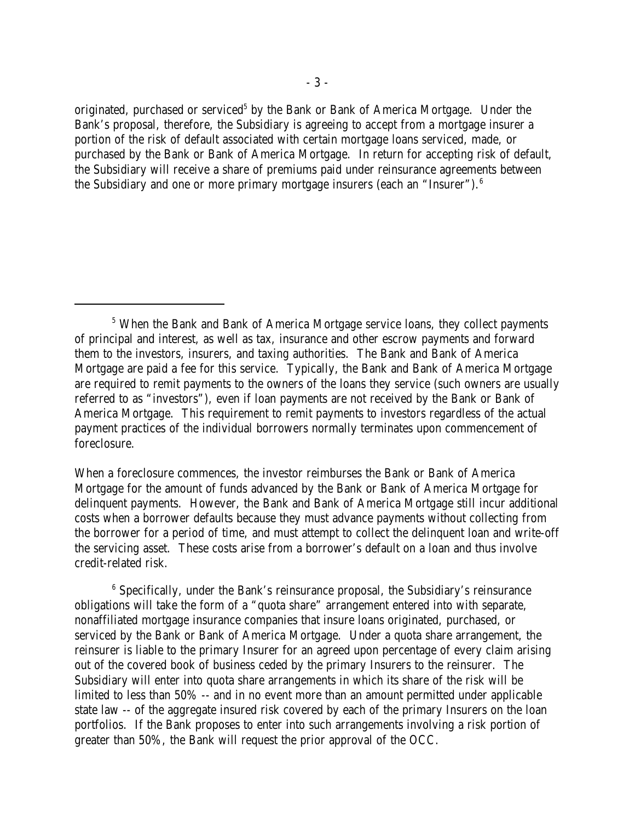originated, purchased or serviced<sup>5</sup> by the Bank or Bank of America Mortgage. Under the Bank's proposal, therefore, the Subsidiary is agreeing to accept from a mortgage insurer a portion of the risk of default associated with certain mortgage loans serviced, made, or purchased by the Bank or Bank of America Mortgage. In return for accepting risk of default, the Subsidiary will receive a share of premiums paid under reinsurance agreements between the Subsidiary and one or more primary mortgage insurers (each an "Insurer").<sup>6</sup>

When a foreclosure commences, the investor reimburses the Bank or Bank of America Mortgage for the amount of funds advanced by the Bank or Bank of America Mortgage for delinquent payments. However, the Bank and Bank of America Mortgage still incur additional costs when a borrower defaults because they must advance payments without collecting from the borrower for a period of time, and must attempt to collect the delinquent loan and write-off the servicing asset. These costs arise from a borrower's default on a loan and thus involve credit-related risk.

 $6$  Specifically, under the Bank's reinsurance proposal, the Subsidiary's reinsurance obligations will take the form of a "quota share" arrangement entered into with separate, nonaffiliated mortgage insurance companies that insure loans originated, purchased, or serviced by the Bank or Bank of America Mortgage. Under a quota share arrangement, the reinsurer is liable to the primary Insurer for an agreed upon percentage of every claim arising out of the covered book of business ceded by the primary Insurers to the reinsurer. The Subsidiary will enter into quota share arrangements in which its share of the risk will be limited to less than 50% -- and in no event more than an amount permitted under applicable state law -- of the aggregate insured risk covered by each of the primary Insurers on the loan portfolios. If the Bank proposes to enter into such arrangements involving a risk portion of greater than 50%, the Bank will request the prior approval of the OCC.

<sup>&</sup>lt;sup>5</sup> When the Bank and Bank of America Mortgage service loans, they collect payments of principal and interest, as well as tax, insurance and other escrow payments and forward them to the investors, insurers, and taxing authorities. The Bank and Bank of America Mortgage are paid a fee for this service. Typically, the Bank and Bank of America Mortgage are required to remit payments to the owners of the loans they service (such owners are usually referred to as "investors"), even if loan payments are not received by the Bank or Bank of America Mortgage. This requirement to remit payments to investors regardless of the actual payment practices of the individual borrowers normally terminates upon commencement of foreclosure.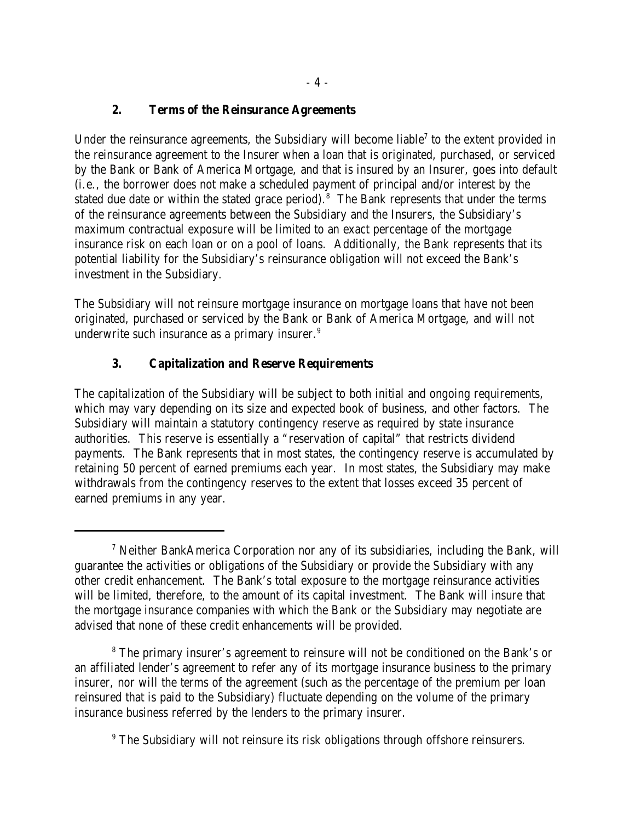## **2. Terms of the Reinsurance Agreements**

Under the reinsurance agreements, the Subsidiary will become liable<sup>7</sup> to the extent provided in the reinsurance agreement to the Insurer when a loan that is originated, purchased, or serviced by the Bank or Bank of America Mortgage, and that is insured by an Insurer, goes into default (i.e., the borrower does not make a scheduled payment of principal and/or interest by the stated due date or within the stated grace period).<sup>8</sup> The Bank represents that under the terms of the reinsurance agreements between the Subsidiary and the Insurers, the Subsidiary's maximum contractual exposure will be limited to an exact percentage of the mortgage insurance risk on each loan or on a pool of loans. Additionally, the Bank represents that its potential liability for the Subsidiary's reinsurance obligation will not exceed the Bank's investment in the Subsidiary.

The Subsidiary will not reinsure mortgage insurance on mortgage loans that have not been originated, purchased or serviced by the Bank or Bank of America Mortgage, and will not underwrite such insurance as a primary insurer.<sup>9</sup>

# **3. Capitalization and Reserve Requirements**

The capitalization of the Subsidiary will be subject to both initial and ongoing requirements, which may vary depending on its size and expected book of business, and other factors. The Subsidiary will maintain a statutory contingency reserve as required by state insurance authorities. This reserve is essentially a "reservation of capital" that restricts dividend payments. The Bank represents that in most states, the contingency reserve is accumulated by retaining 50 percent of earned premiums each year. In most states, the Subsidiary may make withdrawals from the contingency reserves to the extent that losses exceed 35 percent of earned premiums in any year.

<sup>&</sup>lt;sup>7</sup> Neither BankAmerica Corporation nor any of its subsidiaries, including the Bank, will guarantee the activities or obligations of the Subsidiary or provide the Subsidiary with any other credit enhancement. The Bank's total exposure to the mortgage reinsurance activities will be limited, therefore, to the amount of its capital investment. The Bank will insure that the mortgage insurance companies with which the Bank or the Subsidiary may negotiate are advised that none of these credit enhancements will be provided.

<sup>&</sup>lt;sup>8</sup> The primary insurer's agreement to reinsure will not be conditioned on the Bank's or an affiliated lender's agreement to refer any of its mortgage insurance business to the primary insurer, nor will the terms of the agreement (such as the percentage of the premium per loan reinsured that is paid to the Subsidiary) fluctuate depending on the volume of the primary insurance business referred by the lenders to the primary insurer.

<sup>&</sup>lt;sup>9</sup> The Subsidiary will not reinsure its risk obligations through offshore reinsurers.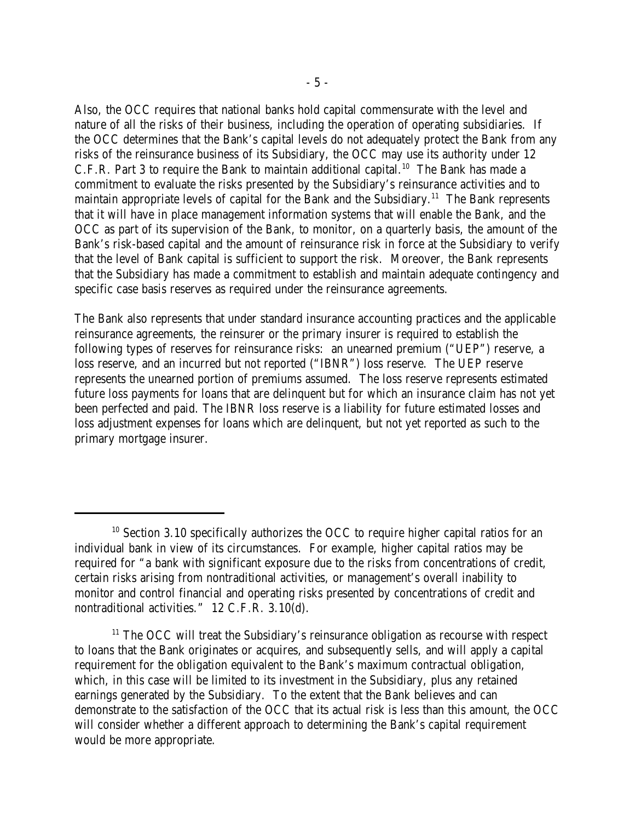Also, the OCC requires that national banks hold capital commensurate with the level and nature of all the risks of their business, including the operation of operating subsidiaries. If the OCC determines that the Bank's capital levels do not adequately protect the Bank from any risks of the reinsurance business of its Subsidiary, the OCC may use its authority under 12 C.F.R. Part 3 to require the Bank to maintain additional capital.<sup>10</sup> The Bank has made a commitment to evaluate the risks presented by the Subsidiary's reinsurance activities and to maintain appropriate levels of capital for the Bank and the Subsidiary.<sup>11</sup> The Bank represents that it will have in place management information systems that will enable the Bank, and the OCC as part of its supervision of the Bank, to monitor, on a quarterly basis, the amount of the Bank's risk-based capital and the amount of reinsurance risk in force at the Subsidiary to verify that the level of Bank capital is sufficient to support the risk. Moreover, the Bank represents that the Subsidiary has made a commitment to establish and maintain adequate contingency and specific case basis reserves as required under the reinsurance agreements.

The Bank also represents that under standard insurance accounting practices and the applicable reinsurance agreements, the reinsurer or the primary insurer is required to establish the following types of reserves for reinsurance risks: an unearned premium ("UEP") reserve, a loss reserve, and an incurred but not reported ("IBNR") loss reserve. The UEP reserve represents the unearned portion of premiums assumed. The loss reserve represents estimated future loss payments for loans that are delinquent but for which an insurance claim has not yet been perfected and paid. The IBNR loss reserve is a liability for future estimated losses and loss adjustment expenses for loans which are delinquent, but not yet reported as such to the primary mortgage insurer.

 $10$  Section 3.10 specifically authorizes the OCC to require higher capital ratios for an individual bank in view of its circumstances. For example, higher capital ratios may be required for "a bank with significant exposure due to the risks from concentrations of credit, certain risks arising from nontraditional activities, or management's overall inability to monitor and control financial and operating risks presented by concentrations of credit and nontraditional activities." 12 C.F.R. 3.10(d).

 $11$  The OCC will treat the Subsidiary's reinsurance obligation as recourse with respect to loans that the Bank originates or acquires, and subsequently sells, and will apply a capital requirement for the obligation equivalent to the Bank's maximum contractual obligation, which, in this case will be limited to its investment in the Subsidiary, plus any retained earnings generated by the Subsidiary. To the extent that the Bank believes and can demonstrate to the satisfaction of the OCC that its actual risk is less than this amount, the OCC will consider whether a different approach to determining the Bank's capital requirement would be more appropriate.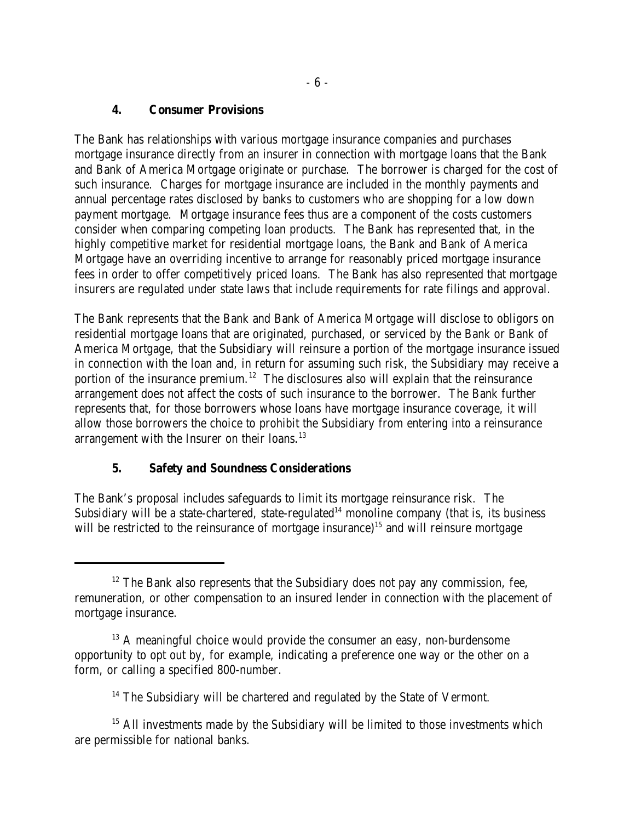#### **4. Consumer Provisions**

The Bank has relationships with various mortgage insurance companies and purchases mortgage insurance directly from an insurer in connection with mortgage loans that the Bank and Bank of America Mortgage originate or purchase. The borrower is charged for the cost of such insurance. Charges for mortgage insurance are included in the monthly payments and annual percentage rates disclosed by banks to customers who are shopping for a low down payment mortgage. Mortgage insurance fees thus are a component of the costs customers consider when comparing competing loan products. The Bank has represented that, in the highly competitive market for residential mortgage loans, the Bank and Bank of America Mortgage have an overriding incentive to arrange for reasonably priced mortgage insurance fees in order to offer competitively priced loans. The Bank has also represented that mortgage insurers are regulated under state laws that include requirements for rate filings and approval.

The Bank represents that the Bank and Bank of America Mortgage will disclose to obligors on residential mortgage loans that are originated, purchased, or serviced by the Bank or Bank of America Mortgage, that the Subsidiary will reinsure a portion of the mortgage insurance issued in connection with the loan and, in return for assuming such risk, the Subsidiary may receive a portion of the insurance premium.<sup>12</sup> The disclosures also will explain that the reinsurance arrangement does not affect the costs of such insurance to the borrower. The Bank further represents that, for those borrowers whose loans have mortgage insurance coverage, it will allow those borrowers the choice to prohibit the Subsidiary from entering into a reinsurance arrangement with the Insurer on their loans.<sup>13</sup>

## **5. Safety and Soundness Considerations**

The Bank's proposal includes safeguards to limit its mortgage reinsurance risk. The Subsidiary will be a state-chartered, state-regulated<sup>14</sup> monoline company (that is, its business will be restricted to the reinsurance of mortgage insurance)<sup>15</sup> and will reinsure mortgage

 $12$  The Bank also represents that the Subsidiary does not pay any commission, fee, remuneration, or other compensation to an insured lender in connection with the placement of mortgage insurance.

 $13$  A meaningful choice would provide the consumer an easy, non-burdensome opportunity to opt out by, for example, indicating a preference one way or the other on a form, or calling a specified 800-number.

 $14$  The Subsidiary will be chartered and regulated by the State of Vermont.

 $15$  All investments made by the Subsidiary will be limited to those investments which are permissible for national banks.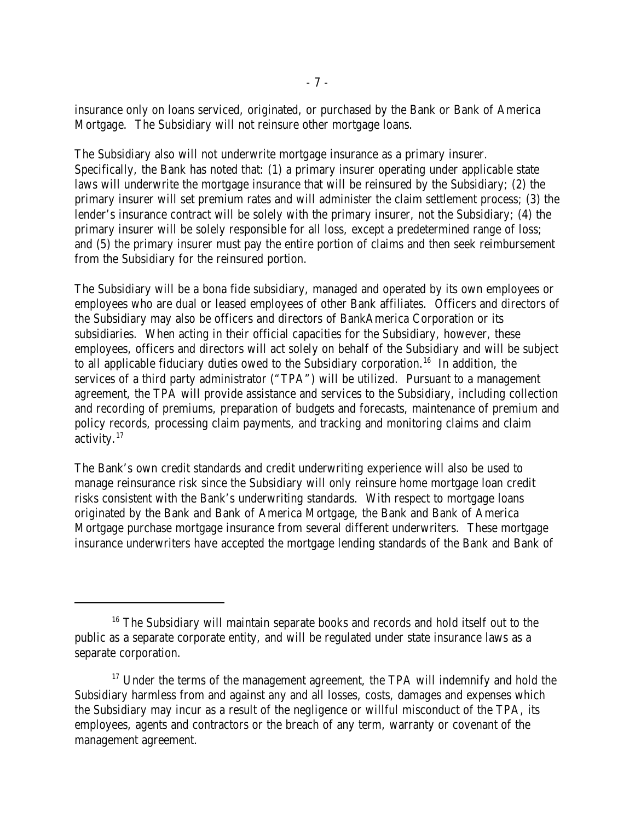insurance only on loans serviced, originated, or purchased by the Bank or Bank of America Mortgage. The Subsidiary will not reinsure other mortgage loans.

The Subsidiary also will not underwrite mortgage insurance as a primary insurer. Specifically, the Bank has noted that: (1) a primary insurer operating under applicable state laws will underwrite the mortgage insurance that will be reinsured by the Subsidiary; (2) the primary insurer will set premium rates and will administer the claim settlement process; (3) the lender's insurance contract will be solely with the primary insurer, not the Subsidiary; (4) the primary insurer will be solely responsible for all loss, except a predetermined range of loss; and (5) the primary insurer must pay the entire portion of claims and then seek reimbursement from the Subsidiary for the reinsured portion.

The Subsidiary will be a bona fide subsidiary, managed and operated by its own employees or employees who are dual or leased employees of other Bank affiliates. Officers and directors of the Subsidiary may also be officers and directors of BankAmerica Corporation or its subsidiaries. When acting in their official capacities for the Subsidiary, however, these employees, officers and directors will act solely on behalf of the Subsidiary and will be subject to all applicable fiduciary duties owed to the Subsidiary corporation.<sup>16</sup> In addition, the services of a third party administrator ("TPA") will be utilized. Pursuant to a management agreement, the TPA will provide assistance and services to the Subsidiary, including collection and recording of premiums, preparation of budgets and forecasts, maintenance of premium and policy records, processing claim payments, and tracking and monitoring claims and claim activity. $17$ 

The Bank's own credit standards and credit underwriting experience will also be used to manage reinsurance risk since the Subsidiary will only reinsure home mortgage loan credit risks consistent with the Bank's underwriting standards. With respect to mortgage loans originated by the Bank and Bank of America Mortgage, the Bank and Bank of America Mortgage purchase mortgage insurance from several different underwriters. These mortgage insurance underwriters have accepted the mortgage lending standards of the Bank and Bank of

 $16$  The Subsidiary will maintain separate books and records and hold itself out to the public as a separate corporate entity, and will be regulated under state insurance laws as a separate corporation.

 $17$  Under the terms of the management agreement, the TPA will indemnify and hold the Subsidiary harmless from and against any and all losses, costs, damages and expenses which the Subsidiary may incur as a result of the negligence or willful misconduct of the TPA, its employees, agents and contractors or the breach of any term, warranty or covenant of the management agreement.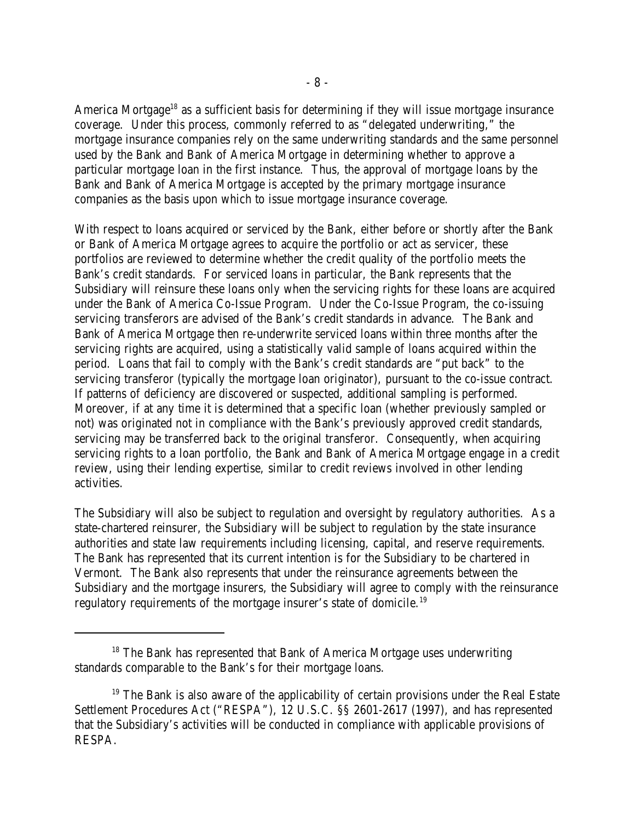America Mortgage<sup>18</sup> as a sufficient basis for determining if they will issue mortgage insurance coverage. Under this process, commonly referred to as "delegated underwriting," the mortgage insurance companies rely on the same underwriting standards and the same personnel used by the Bank and Bank of America Mortgage in determining whether to approve a particular mortgage loan in the first instance. Thus, the approval of mortgage loans by the Bank and Bank of America Mortgage is accepted by the primary mortgage insurance companies as the basis upon which to issue mortgage insurance coverage.

With respect to loans acquired or serviced by the Bank, either before or shortly after the Bank or Bank of America Mortgage agrees to acquire the portfolio or act as servicer, these portfolios are reviewed to determine whether the credit quality of the portfolio meets the Bank's credit standards. For serviced loans in particular, the Bank represents that the Subsidiary will reinsure these loans only when the servicing rights for these loans are acquired under the Bank of America Co-Issue Program. Under the Co-Issue Program, the co-issuing servicing transferors are advised of the Bank's credit standards in advance. The Bank and Bank of America Mortgage then re-underwrite serviced loans within three months after the servicing rights are acquired, using a statistically valid sample of loans acquired within the period. Loans that fail to comply with the Bank's credit standards are "put back" to the servicing transferor (typically the mortgage loan originator), pursuant to the co-issue contract. If patterns of deficiency are discovered or suspected, additional sampling is performed. Moreover, if at any time it is determined that a specific loan (whether previously sampled or not) was originated not in compliance with the Bank's previously approved credit standards, servicing may be transferred back to the original transferor. Consequently, when acquiring servicing rights to a loan portfolio, the Bank and Bank of America Mortgage engage in a credit review, using their lending expertise, similar to credit reviews involved in other lending activities.

The Subsidiary will also be subject to regulation and oversight by regulatory authorities. As a state-chartered reinsurer, the Subsidiary will be subject to regulation by the state insurance authorities and state law requirements including licensing, capital, and reserve requirements. The Bank has represented that its current intention is for the Subsidiary to be chartered in Vermont. The Bank also represents that under the reinsurance agreements between the Subsidiary and the mortgage insurers, the Subsidiary will agree to comply with the reinsurance regulatory requirements of the mortgage insurer's state of domicile.<sup>19</sup>

 $18$  The Bank has represented that Bank of America Mortgage uses underwriting standards comparable to the Bank's for their mortgage loans.

 $19$  The Bank is also aware of the applicability of certain provisions under the Real Estate Settlement Procedures Act ("RESPA"), 12 U.S.C. §§ 2601-2617 (1997), and has represented that the Subsidiary's activities will be conducted in compliance with applicable provisions of RESPA.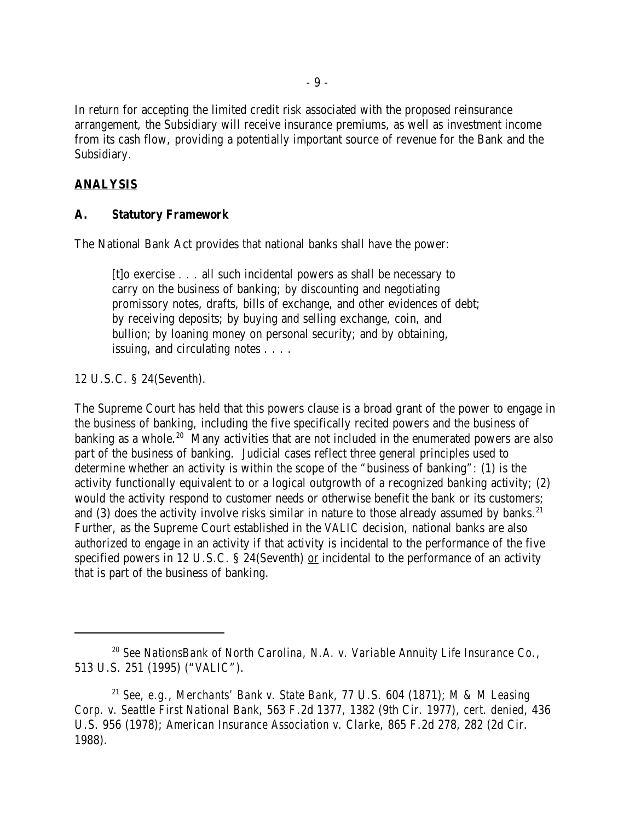In return for accepting the limited credit risk associated with the proposed reinsurance arrangement, the Subsidiary will receive insurance premiums, as well as investment income from its cash flow, providing a potentially important source of revenue for the Bank and the Subsidiary.

## **ANALYSIS**

#### **A. Statutory Framework**

The National Bank Act provides that national banks shall have the power:

[t]o exercise . . . all such incidental powers as shall be necessary to carry on the business of banking; by discounting and negotiating promissory notes, drafts, bills of exchange, and other evidences of debt; by receiving deposits; by buying and selling exchange, coin, and bullion; by loaning money on personal security; and by obtaining, issuing, and circulating notes . . . .

12 U.S.C. § 24(Seventh).

The Supreme Court has held that this powers clause is a broad grant of the power to engage in the business of banking, including the five specifically recited powers and the business of banking as a whole.<sup>20</sup> Many activities that are not included in the enumerated powers are also part of the business of banking. Judicial cases reflect three general principles used to determine whether an activity is within the scope of the "business of banking": (1) is the activity functionally equivalent to or a logical outgrowth of a recognized banking activity; (2) would the activity respond to customer needs or otherwise benefit the bank or its customers; and (3) does the activity involve risks similar in nature to those already assumed by banks.<sup>21</sup> Further, as the Supreme Court established in the *VALIC* decision, national banks are also authorized to engage in an activity if that activity is incidental to the performance of the five specified powers in 12 U.S.C.  $\S$  24(Seventh) or incidental to the performance of an activity that is part of the business of banking.

*See NationsBank of North Carolina, N.A. v. Variable Annuity Life Insurance Co.*, 20 513 U.S. 251 (1995) ("*VALIC*").

<sup>&</sup>lt;sup>21</sup> See, e.g., Merchants' Bank v. State Bank, 77 U.S. 604 (1871); *M & M Leasing Corp. v. Seattle First National Bank*, 563 F.2d 1377, 1382 (9th Cir. 1977), *cert. denied*, 436 U.S. 956 (1978); *American Insurance Association v. Clarke*, 865 F.2d 278, 282 (2d Cir. 1988).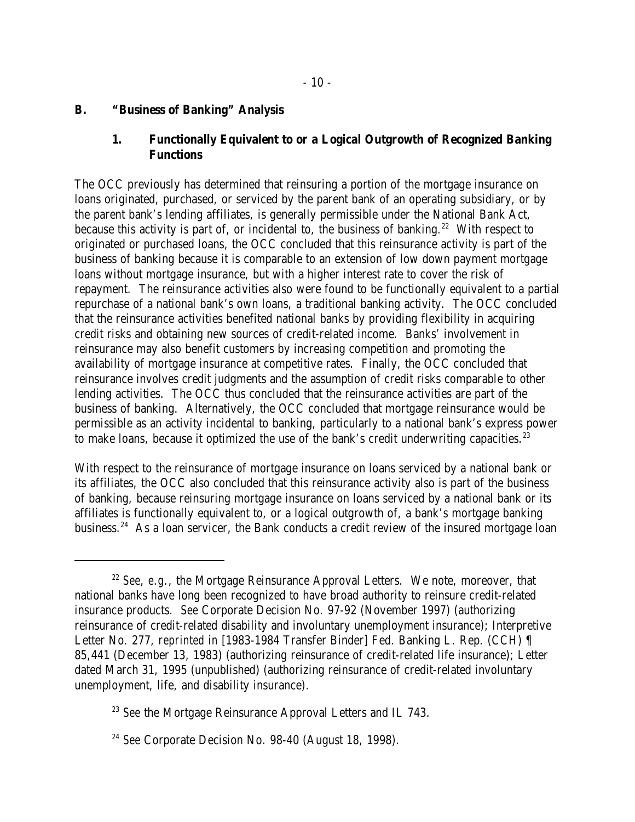#### **B. "Business of Banking" Analysis**

#### **1. Functionally Equivalent to or a Logical Outgrowth of Recognized Banking Functions**

The OCC previously has determined that reinsuring a portion of the mortgage insurance on loans originated, purchased, or serviced by the parent bank of an operating subsidiary, or by the parent bank's lending affiliates, is generally permissible under the National Bank Act, because this activity is part of, or incidental to, the business of banking. <sup>22</sup> With respect to originated or purchased loans, the OCC concluded that this reinsurance activity is part of the business of banking because it is comparable to an extension of low down payment mortgage loans without mortgage insurance, but with a higher interest rate to cover the risk of repayment. The reinsurance activities also were found to be functionally equivalent to a partial repurchase of a national bank's own loans, a traditional banking activity. The OCC concluded that the reinsurance activities benefited national banks by providing flexibility in acquiring credit risks and obtaining new sources of credit-related income. Banks' involvement in reinsurance may also benefit customers by increasing competition and promoting the availability of mortgage insurance at competitive rates. Finally, the OCC concluded that reinsurance involves credit judgments and the assumption of credit risks comparable to other lending activities. The OCC thus concluded that the reinsurance activities are part of the business of banking. Alternatively, the OCC concluded that mortgage reinsurance would be permissible as an activity incidental to banking, particularly to a national bank's express power to make loans, because it optimized the use of the bank's credit underwriting capacities. $23$ 

With respect to the reinsurance of mortgage insurance on loans serviced by a national bank or its affiliates, the OCC also concluded that this reinsurance activity also is part of the business of banking, because reinsuring mortgage insurance on loans serviced by a national bank or its affiliates is functionally equivalent to, or a logical outgrowth of, a bank's mortgage banking business.<sup>24</sup> As a loan servicer, the Bank conducts a credit review of the insured mortgage loan

<sup>&</sup>lt;sup>22</sup> See, e.g., the Mortgage Reinsurance Approval Letters. We note, moreover, that national banks have long been recognized to have broad authority to reinsure credit-related insurance products. *See* Corporate Decision No. 97-92 (November 1997) (authorizing reinsurance of credit-related disability and involuntary unemployment insurance); Interpretive Letter No. 277, *reprinted in* [1983-1984 Transfer Binder] Fed. Banking L. Rep. (CCH) ¶ 85,441 (December 13, 1983) (authorizing reinsurance of credit-related life insurance); Letter dated March 31, 1995 (unpublished) (authorizing reinsurance of credit-related involuntary unemployment, life, and disability insurance).

<sup>&</sup>lt;sup>23</sup> See the Mortgage Reinsurance Approval Letters and IL 743.

<sup>&</sup>lt;sup>24</sup> See Corporate Decision No. 98-40 (August 18, 1998).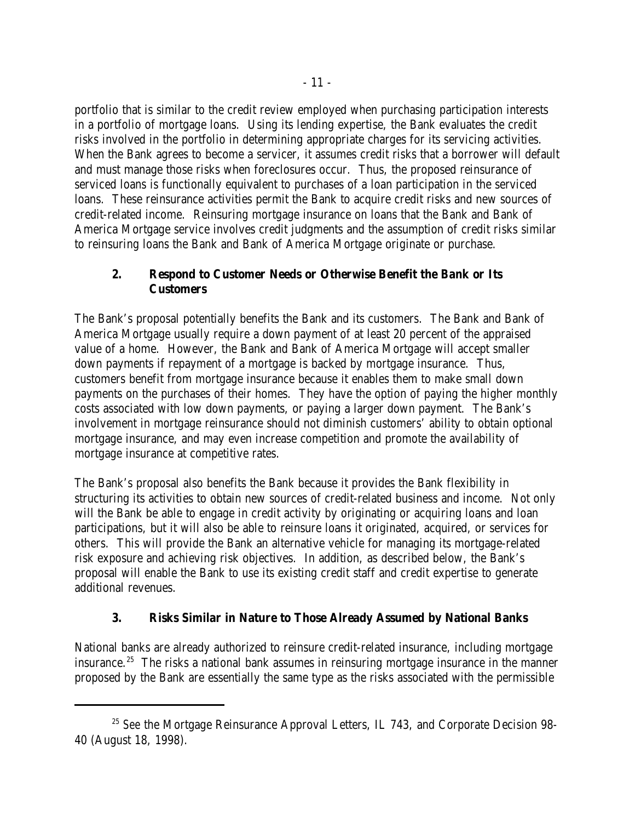portfolio that is similar to the credit review employed when purchasing participation interests in a portfolio of mortgage loans. Using its lending expertise, the Bank evaluates the credit risks involved in the portfolio in determining appropriate charges for its servicing activities. When the Bank agrees to become a servicer, it assumes credit risks that a borrower will default and must manage those risks when foreclosures occur. Thus, the proposed reinsurance of serviced loans is functionally equivalent to purchases of a loan participation in the serviced loans. These reinsurance activities permit the Bank to acquire credit risks and new sources of credit-related income. Reinsuring mortgage insurance on loans that the Bank and Bank of America Mortgage service involves credit judgments and the assumption of credit risks similar to reinsuring loans the Bank and Bank of America Mortgage originate or purchase.

# **2. Respond to Customer Needs or Otherwise Benefit the Bank or Its Customers**

The Bank's proposal potentially benefits the Bank and its customers. The Bank and Bank of America Mortgage usually require a down payment of at least 20 percent of the appraised value of a home. However, the Bank and Bank of America Mortgage will accept smaller down payments if repayment of a mortgage is backed by mortgage insurance. Thus, customers benefit from mortgage insurance because it enables them to make small down payments on the purchases of their homes. They have the option of paying the higher monthly costs associated with low down payments, or paying a larger down payment. The Bank's involvement in mortgage reinsurance should not diminish customers' ability to obtain optional mortgage insurance, and may even increase competition and promote the availability of mortgage insurance at competitive rates.

The Bank's proposal also benefits the Bank because it provides the Bank flexibility in structuring its activities to obtain new sources of credit-related business and income. Not only will the Bank be able to engage in credit activity by originating or acquiring loans and loan participations, but it will also be able to reinsure loans it originated, acquired, or services for others. This will provide the Bank an alternative vehicle for managing its mortgage-related risk exposure and achieving risk objectives. In addition, as described below, the Bank's proposal will enable the Bank to use its existing credit staff and credit expertise to generate additional revenues.

# **3. Risks Similar in Nature to Those Already Assumed by National Banks**

National banks are already authorized to reinsure credit-related insurance, including mortgage insurance.<sup>25</sup> The risks a national bank assumes in reinsuring mortgage insurance in the manner proposed by the Bank are essentially the same type as the risks associated with the permissible

<sup>&</sup>lt;sup>25</sup> See the Mortgage Reinsurance Approval Letters, IL 743, and Corporate Decision 98-40 (August 18, 1998).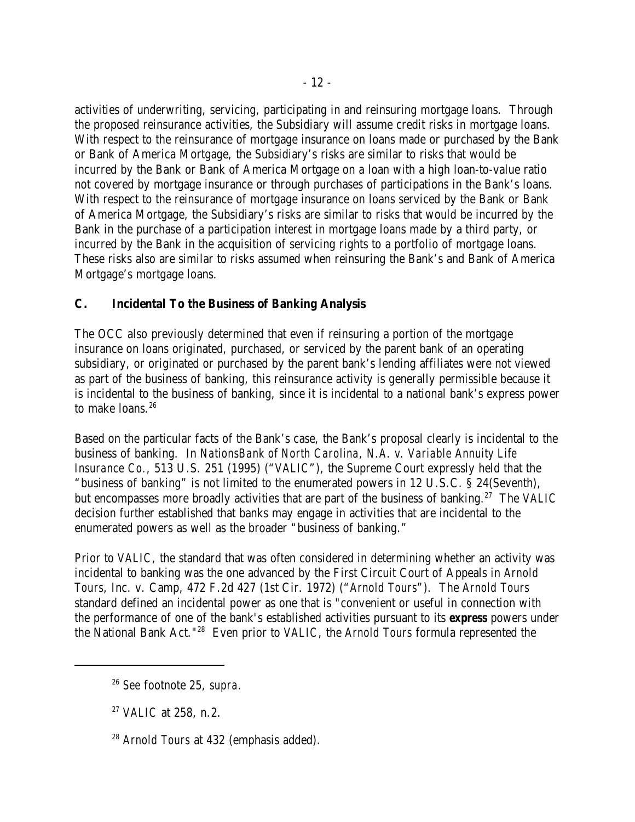activities of underwriting, servicing, participating in and reinsuring mortgage loans. Through the proposed reinsurance activities, the Subsidiary will assume credit risks in mortgage loans. With respect to the reinsurance of mortgage insurance on loans made or purchased by the Bank or Bank of America Mortgage, the Subsidiary's risks are similar to risks that would be incurred by the Bank or Bank of America Mortgage on a loan with a high loan-to-value ratio not covered by mortgage insurance or through purchases of participations in the Bank's loans. With respect to the reinsurance of mortgage insurance on loans serviced by the Bank or Bank of America Mortgage, the Subsidiary's risks are similar to risks that would be incurred by the Bank in the purchase of a participation interest in mortgage loans made by a third party, or incurred by the Bank in the acquisition of servicing rights to a portfolio of mortgage loans. These risks also are similar to risks assumed when reinsuring the Bank's and Bank of America Mortgage's mortgage loans.

## **C. Incidental To the Business of Banking Analysis**

The OCC also previously determined that even if reinsuring a portion of the mortgage insurance on loans originated, purchased, or serviced by the parent bank of an operating subsidiary, or originated or purchased by the parent bank's lending affiliates were not viewed as part of the business of banking, this reinsurance activity is generally permissible because it is incidental to the business of banking, since it is incidental to a national bank's express power to make loans. 26

Based on the particular facts of the Bank's case, the Bank's proposal clearly is incidental to the business of banking. In *NationsBank of North Carolina, N.A. v. Variable Annuity Life Insurance Co.*, 513 U.S. 251 (1995) ("*VALIC*"), the Supreme Court expressly held that the "business of banking" is not limited to the enumerated powers in 12 U.S.C. § 24(Seventh), but encompasses more broadly activities that are part of the business of banking.<sup>27</sup> The *VALIC* decision further established that banks may engage in activities that are incidental to the enumerated powers as well as the broader "business of banking."

Prior to *VALIC*, the standard that was often considered in determining whether an activity was incidental to banking was the one advanced by the First Circuit Court of Appeals in *Arnold Tours*, Inc. v. Camp, 472 F.2d 427 (1st Cir. 1972) ("*Arnold Tours*"). The *Arnold Tours* standard defined an incidental power as one that is "convenient or useful in connection with the performance of one of the bank's established activities pursuant to its *express* powers under the National Bank Act."<sup>28</sup> Even prior to *VALIC*, the *Arnold Tours* formula represented the

*See* footnote 25, *supra*. 26

<sup>&</sup>lt;sup>27</sup> *VALIC* at 258, n.2.

<sup>&</sup>lt;sup>28</sup> Arnold Tours at 432 (emphasis added).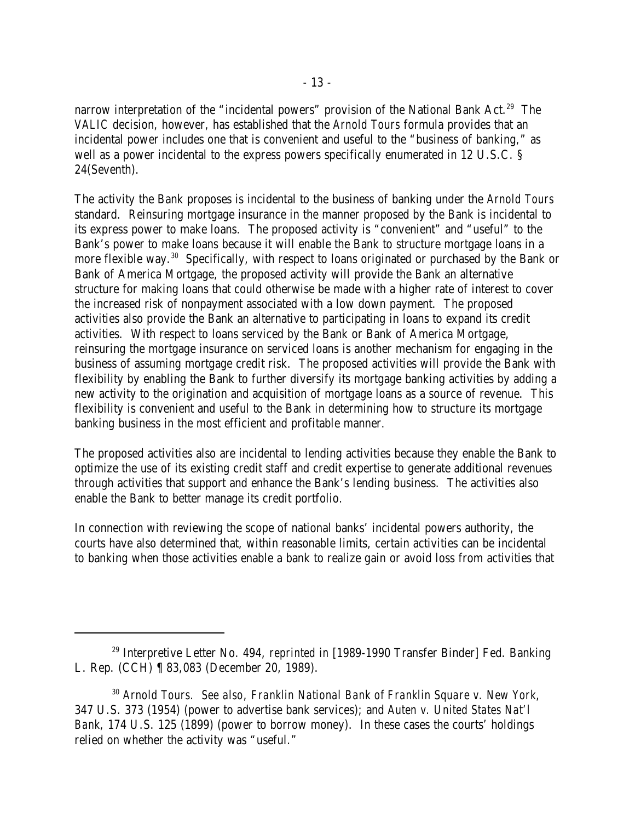narrow interpretation of the "incidental powers" provision of the National Bank Act.<sup>29</sup> The *VALIC* decision, however, has established that the *Arnold Tours* formula provides that an incidental power includes one that is convenient and useful to the "business of banking," as well as a power incidental to the express powers specifically enumerated in 12 U.S.C. § 24(Seventh).

The activity the Bank proposes is incidental to the business of banking under the *Arnold Tours* standard. Reinsuring mortgage insurance in the manner proposed by the Bank is incidental to its express power to make loans. The proposed activity is "convenient" and "useful" to the Bank's power to make loans because it will enable the Bank to structure mortgage loans in a more flexible way.<sup>30</sup> Specifically, with respect to loans originated or purchased by the Bank or Bank of America Mortgage, the proposed activity will provide the Bank an alternative structure for making loans that could otherwise be made with a higher rate of interest to cover the increased risk of nonpayment associated with a low down payment. The proposed activities also provide the Bank an alternative to participating in loans to expand its credit activities. With respect to loans serviced by the Bank or Bank of America Mortgage, reinsuring the mortgage insurance on serviced loans is another mechanism for engaging in the business of assuming mortgage credit risk. The proposed activities will provide the Bank with flexibility by enabling the Bank to further diversify its mortgage banking activities by adding a new activity to the origination and acquisition of mortgage loans as a source of revenue. This flexibility is convenient and useful to the Bank in determining how to structure its mortgage banking business in the most efficient and profitable manner.

The proposed activities also are incidental to lending activities because they enable the Bank to optimize the use of its existing credit staff and credit expertise to generate additional revenues through activities that support and enhance the Bank's lending business. The activities also enable the Bank to better manage its credit portfolio.

In connection with reviewing the scope of national banks' incidental powers authority, the courts have also determined that, within reasonable limits, certain activities can be incidental to banking when those activities enable a bank to realize gain or avoid loss from activities that

<sup>&</sup>lt;sup>29</sup> Interpretive Letter No. 494, *reprinted in* [1989-1990 Transfer Binder] Fed. Banking L. Rep. (CCH) ¶ 83,083 (December 20, 1989).

*Arnold Tours. See also*, *Franklin National Bank of Franklin Square v. New York*, 30 347 U.S. 373 (1954) (power to advertise bank services); and *Auten v. United States Nat'l Bank*, 174 U.S. 125 (1899) (power to borrow money). In these cases the courts' holdings relied on whether the activity was "useful."